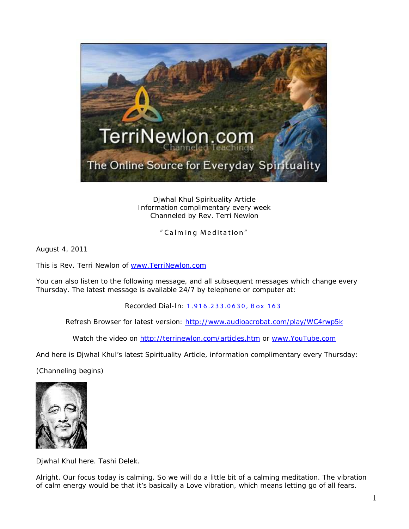

Djwhal Khul Spirituality Article Information complimentary every week Channeled by Rev. Terri Newlon

" Calm ing Meditation "

August 4, 2011

This is Rev. Terri Newlon of [www.TerriNewlon.com](http://www.terrinewlon.com/)

You can also listen to the following message, and all subsequent messages which change every Thursday. The latest message is available 24/7 by telephone or computer at:

Recorded Dial-In: 1.916.233.0630, Box 163

Refresh Browser for latest version: <http://www.audioacrobat.com/play/WC4rwp5k>

Watch the video on<http://terrinewlon.com/articles.htm> or [www.YouTube.com](http://www.youtube.com/)

And here is Djwhal Khul's latest Spirituality Article, information complimentary every Thursday:

(Channeling begins)



Djwhal Khul here. Tashi Delek.

Alright. Our focus today is calming. So we will do a little bit of a calming meditation. The vibration of calm energy would be that it's basically a Love vibration, which means letting go of all fears.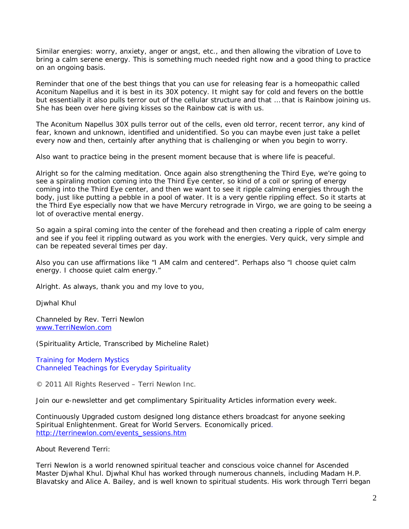Similar energies: worry, anxiety, anger or angst, etc., and then allowing the vibration of Love to bring a calm serene energy. This is something much needed right now and a good thing to practice on an ongoing basis.

Reminder that one of the best things that you can use for releasing fear is a homeopathic called Aconitum Napellus and it is best in its 30X potency. It might say for cold and fevers on the bottle but essentially it also pulls terror out of the cellular structure and that … that is Rainbow joining us. She has been over here giving kisses so the Rainbow cat is with us.

The Aconitum Napellus 30X pulls terror out of the cells, even old terror, recent terror, any kind of fear, known and unknown, identified and unidentified. So you can maybe even just take a pellet every now and then, certainly after anything that is challenging or when you begin to worry.

Also want to practice being in the present moment because that is where life is peaceful.

Alright so for the calming meditation. Once again also strengthening the Third Eye, we're going to see a spiraling motion coming into the Third Eye center, so kind of a coil or spring of energy coming into the Third Eye center, and then we want to see it ripple calming energies through the body, just like putting a pebble in a pool of water. It is a very gentle rippling effect. So it starts at the Third Eye especially now that we have Mercury retrograde in Virgo, we are going to be seeing a lot of overactive mental energy.

So again a spiral coming into the center of the forehead and then creating a ripple of calm energy and see if you feel it rippling outward as you work with the energies. Very quick, very simple and can be repeated several times per day.

Also you can use affirmations like "I AM calm and centered". Perhaps also "I choose quiet calm energy. I choose quiet calm energy."

Alright. As always, thank you and my love to you,

Djwhal Khul

Channeled by Rev. Terri Newlon [www.TerriNewlon.com](http://www.terrinewlon.com/)

(Spirituality Article, Transcribed by Micheline Ralet)

Training for Modern Mystics [Channeled Teachings for Everyday Spirituality](http://www.terrinewlon.com/)

© 2011 All Rights Reserved – Terri Newlon Inc.

Join our e-newsletter and get complimentary Spirituality Articles information every week.

Continuously Upgraded custom designed long distance ethers broadcast for anyone seeking Spiritual Enlightenment. Great for World Servers. Economically priced. [http://terrinewlon.com/events\\_sessions.htm](http://terrinewlon.com/events_sessions.htm)

About Reverend Terri:

Terri Newlon is a world renowned spiritual teacher and conscious voice channel for Ascended Master Djwhal Khul. Djwhal Khul has worked through numerous channels, including Madam H.P. Blavatsky and Alice A. Bailey, and is well known to spiritual students. His work through Terri began